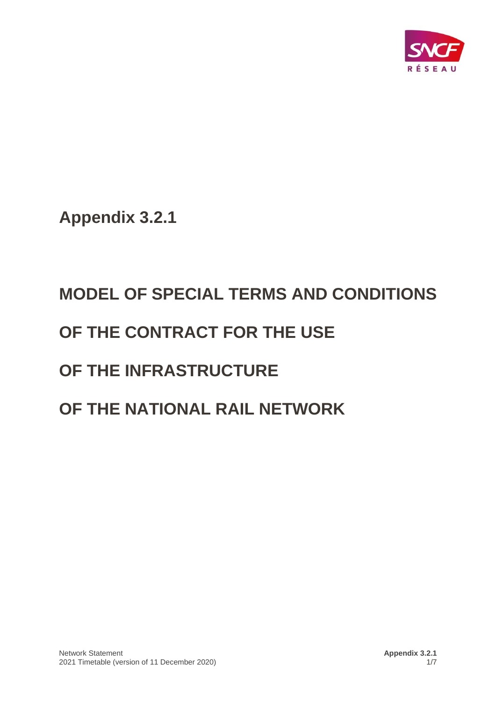

**Appendix 3.2.1**

# **MODEL OF SPECIAL TERMS AND CONDITIONS OF THE CONTRACT FOR THE USE OF THE INFRASTRUCTURE OF THE NATIONAL RAIL NETWORK**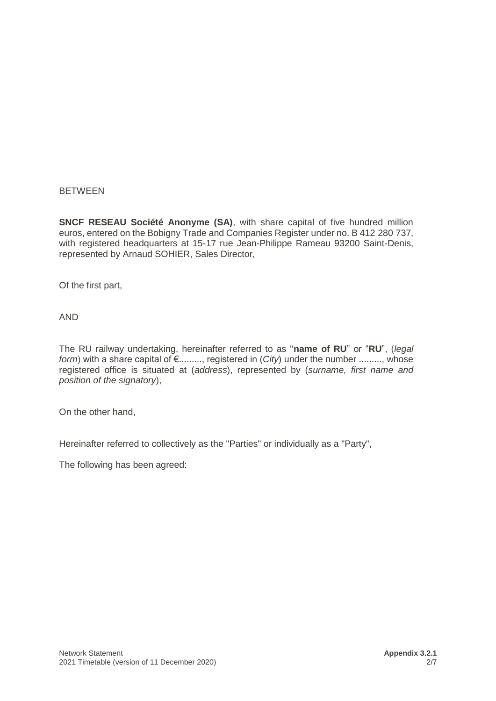#### **BETWEEN**

**SNCF RESEAU Société Anonyme (SA)**, with share capital of five hundred million euros, entered on the Bobigny Trade and Companies Register under no. B 412 280 737, with registered headquarters at 15-17 rue Jean-Philippe Rameau 93200 Saint-Denis, represented by Arnaud SOHIER, Sales Director,

Of the first part,

AND

The RU railway undertaking, hereinafter referred to as "**name of RU**" or "**RU**", (*legal form*) with a share capital of €........., registered in (*City*) under the number ........., whose registered office is situated at (*address*), represented by (*surname, first name and position of the signatory*),

On the other hand,

Hereinafter referred to collectively as the "Parties" or individually as a "Party",

The following has been agreed: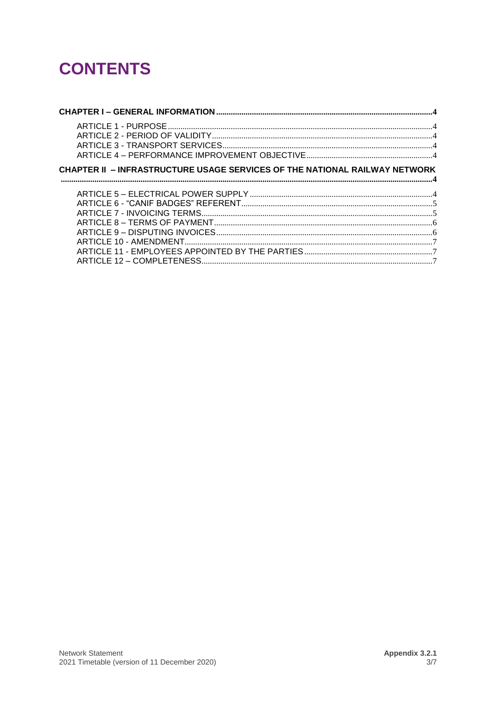# **CONTENTS**

| CHAPTER II - INFRASTRUCTURE USAGE SERVICES OF THE NATIONAL RAILWAY NETWORK |  |
|----------------------------------------------------------------------------|--|
|                                                                            |  |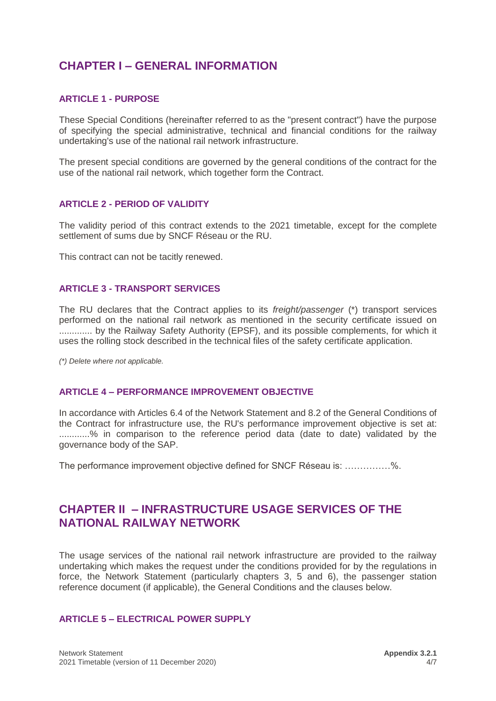# <span id="page-3-0"></span>**CHAPTER I – GENERAL INFORMATION**

#### <span id="page-3-1"></span>**ARTICLE 1 - PURPOSE**

These Special Conditions (hereinafter referred to as the "present contract") have the purpose of specifying the special administrative, technical and financial conditions for the railway undertaking's use of the national rail network infrastructure.

The present special conditions are governed by the general conditions of the contract for the use of the national rail network, which together form the Contract.

#### <span id="page-3-2"></span>**ARTICLE 2 - PERIOD OF VALIDITY**

The validity period of this contract extends to the 2021 timetable, except for the complete settlement of sums due by SNCF Réseau or the RU.

This contract can not be tacitly renewed.

#### <span id="page-3-3"></span>**ARTICLE 3 - TRANSPORT SERVICES**

The RU declares that the Contract applies to its *freight/passenger* (\*) transport services performed on the national rail network as mentioned in the security certificate issued on ............. by the Railway Safety Authority (EPSF), and its possible complements, for which it uses the rolling stock described in the technical files of the safety certificate application.

*(\*) Delete where not applicable.*

#### <span id="page-3-4"></span>**ARTICLE 4 – PERFORMANCE IMPROVEMENT OBJECTIVE**

In accordance with Articles 6.4 of the Network Statement and 8.2 of the General Conditions of the Contract for infrastructure use, the RU's performance improvement objective is set at: ............% in comparison to the reference period data (date to date) validated by the governance body of the SAP.

The performance improvement objective defined for SNCF Réseau is: ……………%.

## <span id="page-3-5"></span>**CHAPTER II – INFRASTRUCTURE USAGE SERVICES OF THE NATIONAL RAILWAY NETWORK**

The usage services of the national rail network infrastructure are provided to the railway undertaking which makes the request under the conditions provided for by the regulations in force, the Network Statement (particularly chapters 3, 5 and 6), the passenger station reference document (if applicable), the General Conditions and the clauses below.

#### <span id="page-3-6"></span>**ARTICLE 5 – ELECTRICAL POWER SUPPLY**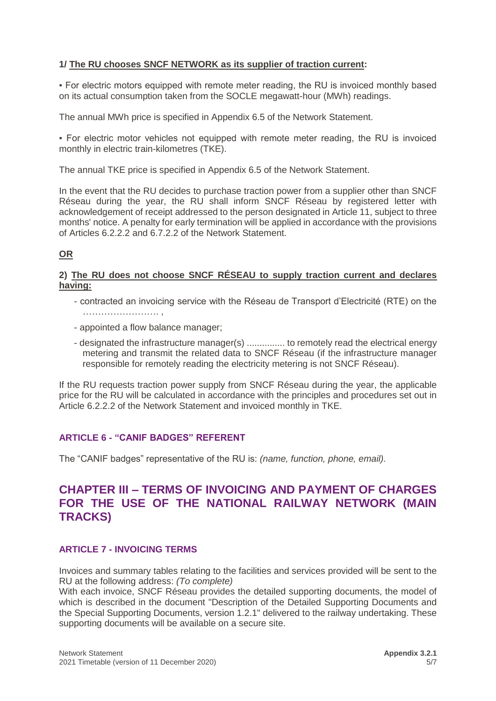#### **1/ The RU chooses SNCF NETWORK as its supplier of traction current:**

▪ For electric motors equipped with remote meter reading, the RU is invoiced monthly based on its actual consumption taken from the SOCLE megawatt-hour (MWh) readings.

The annual MWh price is specified in Appendix 6.5 of the Network Statement.

▪ For electric motor vehicles not equipped with remote meter reading, the RU is invoiced monthly in electric train-kilometres (TKE).

The annual TKE price is specified in Appendix 6.5 of the Network Statement.

In the event that the RU decides to purchase traction power from a supplier other than SNCF Réseau during the year, the RU shall inform SNCF Réseau by registered letter with acknowledgement of receipt addressed to the person designated in Article 11, subject to three months' notice. A penalty for early termination will be applied in accordance with the provisions of Articles 6.2.2.2 and 6.7.2.2 of the Network Statement.

#### **OR**

#### **2) The RU does not choose SNCF RÉSEAU to supply traction current and declares having:**

- contracted an invoicing service with the Réseau de Transport d'Electricité (RTE) on the ……………………. ,
- appointed a flow balance manager;
- designated the infrastructure manager(s) ............... to remotely read the electrical energy metering and transmit the related data to SNCF Réseau (if the infrastructure manager responsible for remotely reading the electricity metering is not SNCF Réseau).

If the RU requests traction power supply from SNCF Réseau during the year, the applicable price for the RU will be calculated in accordance with the principles and procedures set out in Article 6.2.2.2 of the Network Statement and invoiced monthly in TKE.

#### <span id="page-4-0"></span>**ARTICLE 6 - "CANIF BADGES" REFERENT**

The "CANIF badges" representative of the RU is: *(name, function, phone, email).*

## **CHAPTER III – TERMS OF INVOICING AND PAYMENT OF CHARGES FOR THE USE OF THE NATIONAL RAILWAY NETWORK (MAIN TRACKS)**

#### <span id="page-4-1"></span>**ARTICLE 7 - INVOICING TERMS**

Invoices and summary tables relating to the facilities and services provided will be sent to the RU at the following address: *(To complete)*

With each invoice, SNCF Réseau provides the detailed supporting documents, the model of which is described in the document "Description of the Detailed Supporting Documents and the Special Supporting Documents, version 1.2.1" delivered to the railway undertaking. These supporting documents will be available on a secure site.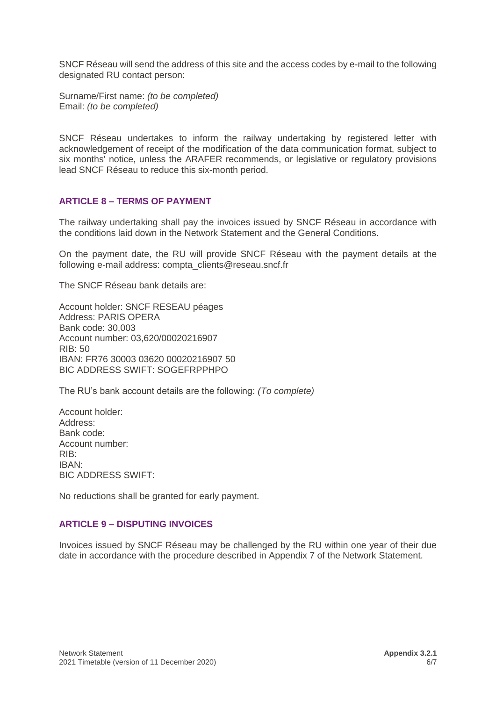SNCF Réseau will send the address of this site and the access codes by e-mail to the following designated RU contact person:

Surname/First name: *(to be completed)* Email: *(to be completed)*

SNCF Réseau undertakes to inform the railway undertaking by registered letter with acknowledgement of receipt of the modification of the data communication format, subject to six months' notice, unless the ARAFER recommends, or legislative or regulatory provisions lead SNCF Réseau to reduce this six-month period.

#### <span id="page-5-0"></span>**ARTICLE 8 – TERMS OF PAYMENT**

The railway undertaking shall pay the invoices issued by SNCF Réseau in accordance with the conditions laid down in the Network Statement and the General Conditions.

On the payment date, the RU will provide SNCF Réseau with the payment details at the following e-mail address: [compta\\_clients@reseau.sncf.fr](mailto:compta_clients@reseau.sncf.fr)

The SNCF Réseau bank details are:

Account holder: SNCF RESEAU péages Address: PARIS OPERA Bank code: 30,003 Account number: 03,620/00020216907  $RIB: 50$ IBAN: FR76 30003 03620 00020216907 50 BIC ADDRESS SWIFT: SOGEFRPPHPO

The RU's bank account details are the following: *(To complete)*

Account holder: Address: Bank code: Account number: RIB: IBAN: BIC ADDRESS SWIFT:

No reductions shall be granted for early payment.

#### <span id="page-5-1"></span>**ARTICLE 9 – DISPUTING INVOICES**

Invoices issued by SNCF Réseau may be challenged by the RU within one year of their due date in accordance with the procedure described in Appendix 7 of the Network Statement.